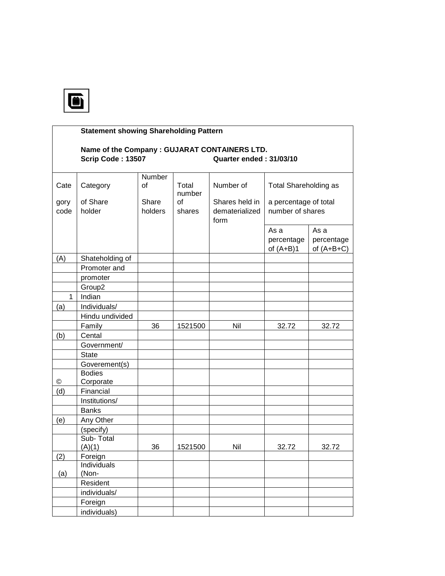

|              | <b>Statement showing Shareholding Pattern</b>                      |                     |                 |                                          |                                           |                                    |  |  |
|--------------|--------------------------------------------------------------------|---------------------|-----------------|------------------------------------------|-------------------------------------------|------------------------------------|--|--|
|              | Name of the Company : GUJARAT CONTAINERS LTD.<br>Scrip Code: 13507 |                     |                 | Quarter ended: 31/03/10                  |                                           |                                    |  |  |
| Cate         | Category                                                           | <b>Number</b><br>of | Total<br>number | Number of                                | <b>Total Shareholding as</b>              |                                    |  |  |
| gory<br>code | of Share<br>holder                                                 | Share<br>holders    | of<br>shares    | Shares held in<br>dematerialized<br>form | a percentage of total<br>number of shares |                                    |  |  |
|              |                                                                    |                     |                 |                                          | As a<br>percentage<br>of $(A+B)1$         | As a<br>percentage<br>of $(A+B+C)$ |  |  |
| (A)          | Shateholding of                                                    |                     |                 |                                          |                                           |                                    |  |  |
|              | Promoter and                                                       |                     |                 |                                          |                                           |                                    |  |  |
|              | promoter                                                           |                     |                 |                                          |                                           |                                    |  |  |
|              | Group <sub>2</sub>                                                 |                     |                 |                                          |                                           |                                    |  |  |
| $\mathbf 1$  | Indian                                                             |                     |                 |                                          |                                           |                                    |  |  |
| (a)          | Individuals/                                                       |                     |                 |                                          |                                           |                                    |  |  |
|              | Hindu undivided                                                    |                     |                 |                                          |                                           |                                    |  |  |
|              | Family                                                             | 36                  | 1521500         | Nil                                      | 32.72                                     | 32.72                              |  |  |
| (b)          | Cental                                                             |                     |                 |                                          |                                           |                                    |  |  |
|              | Government/                                                        |                     |                 |                                          |                                           |                                    |  |  |
|              | <b>State</b>                                                       |                     |                 |                                          |                                           |                                    |  |  |
|              | Goverement(s)                                                      |                     |                 |                                          |                                           |                                    |  |  |
| ©            | <b>Bodies</b><br>Corporate                                         |                     |                 |                                          |                                           |                                    |  |  |
| (d)          | Financial                                                          |                     |                 |                                          |                                           |                                    |  |  |
|              | Institutions/                                                      |                     |                 |                                          |                                           |                                    |  |  |
|              | <b>Banks</b>                                                       |                     |                 |                                          |                                           |                                    |  |  |
| (e)          | Any Other                                                          |                     |                 |                                          |                                           |                                    |  |  |
|              | (specify)                                                          |                     |                 |                                          |                                           |                                    |  |  |
|              | Sub-Total<br>(A)(1)                                                | 36                  | 1521500         | Nil                                      | 32.72                                     | 32.72                              |  |  |
| (2)          | Foreign                                                            |                     |                 |                                          |                                           |                                    |  |  |
| (a)          | Individuals<br>(Non-                                               |                     |                 |                                          |                                           |                                    |  |  |
|              | Resident                                                           |                     |                 |                                          |                                           |                                    |  |  |
|              | individuals/                                                       |                     |                 |                                          |                                           |                                    |  |  |
|              | Foreign                                                            |                     |                 |                                          |                                           |                                    |  |  |
|              | individuals)                                                       |                     |                 |                                          |                                           |                                    |  |  |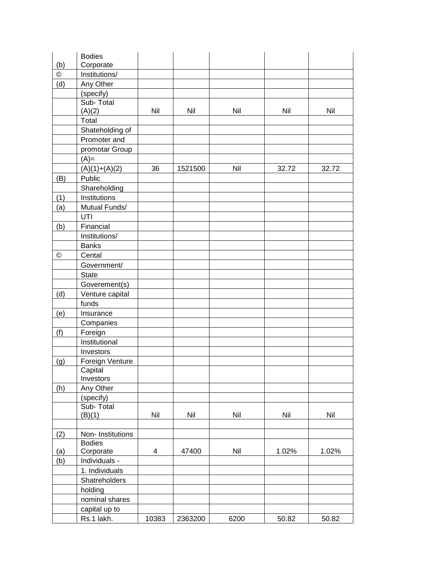|            | <b>Bodies</b>        |       |         |      |       |       |
|------------|----------------------|-------|---------|------|-------|-------|
| (b)        | Corporate            |       |         |      |       |       |
| $^{\circ}$ | Institutions/        |       |         |      |       |       |
| (d)        | Any Other            |       |         |      |       |       |
|            | (specify)            |       |         |      |       |       |
|            | Sub-Total            |       |         |      |       |       |
|            | (A)(2)               | Nil   | Nil     | Nil  | Nil   | Nil   |
|            | Total                |       |         |      |       |       |
|            | Shateholding of      |       |         |      |       |       |
|            | Promoter and         |       |         |      |       |       |
|            | promotar Group       |       |         |      |       |       |
|            | $(A)=$               |       |         |      |       |       |
|            | $(A)(1)+(A)(2)$      | 36    | 1521500 | Nil  | 32.72 | 32.72 |
| (B)        | Public               |       |         |      |       |       |
|            | Shareholding         |       |         |      |       |       |
| (1)        | Institutions         |       |         |      |       |       |
| (a)        | Mutual Funds/        |       |         |      |       |       |
|            | UTI                  |       |         |      |       |       |
| (b)        | Financial            |       |         |      |       |       |
|            | Institutions/        |       |         |      |       |       |
|            | <b>Banks</b>         |       |         |      |       |       |
| ©          | Cental               |       |         |      |       |       |
|            | Government/          |       |         |      |       |       |
|            | <b>State</b>         |       |         |      |       |       |
|            | Goverement(s)        |       |         |      |       |       |
| (d)        | Venture capital      |       |         |      |       |       |
|            | funds                |       |         |      |       |       |
| (e)        | Insurance            |       |         |      |       |       |
|            | Companies            |       |         |      |       |       |
| (f)        | Foreign              |       |         |      |       |       |
|            | Institutional        |       |         |      |       |       |
|            |                      |       |         |      |       |       |
|            | Investors            |       |         |      |       |       |
| (g)        | Foreign Venture      |       |         |      |       |       |
|            | Capital<br>Investors |       |         |      |       |       |
|            | Any Other            |       |         |      |       |       |
| (h)        | (specify)            |       |         |      |       |       |
|            | Sub-Total            |       |         |      |       |       |
|            | (B)(1)               | Nil   | Nil     | Nil  | Nil   | Nil   |
|            |                      |       |         |      |       |       |
| (2)        | Non-Institutions     |       |         |      |       |       |
|            | <b>Bodies</b>        |       |         |      |       |       |
| (a)        | Corporate            | 4     | 47400   | Nil  | 1.02% | 1.02% |
| (b)        | Individuals -        |       |         |      |       |       |
|            | 1. Individuals       |       |         |      |       |       |
|            | Shatreholders        |       |         |      |       |       |
|            | holding              |       |         |      |       |       |
|            | nominal shares       |       |         |      |       |       |
|            |                      |       |         |      |       |       |
|            | capital up to        |       |         |      |       |       |
|            | Rs.1 lakh.           | 10383 | 2363200 | 6200 | 50.82 | 50.82 |